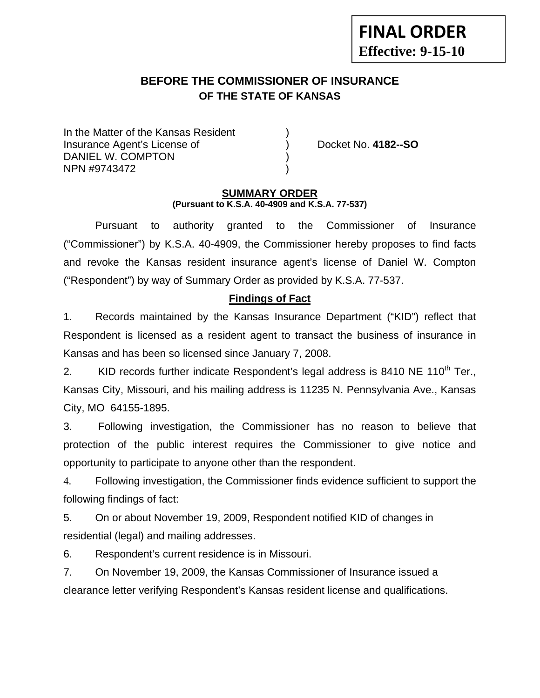# **BEFORE THE COMMISSIONER OF INSURANCE OF THE STATE OF KANSAS**

In the Matter of the Kansas Resident Insurance Agent's License of ) Docket No. **4182--SO** DANIEL W. COMPTON NPN #9743472 )

**FINAL ORDER**

**Effective: 9-15-10** 

### **SUMMARY ORDER (Pursuant to K.S.A. 40-4909 and K.S.A. 77-537)**

 Pursuant to authority granted to the Commissioner of Insurance ("Commissioner") by K.S.A. 40-4909, the Commissioner hereby proposes to find facts and revoke the Kansas resident insurance agent's license of Daniel W. Compton ("Respondent") by way of Summary Order as provided by K.S.A. 77-537.

## **Findings of Fact**

1. Records maintained by the Kansas Insurance Department ("KID") reflect that Respondent is licensed as a resident agent to transact the business of insurance in Kansas and has been so licensed since January 7, 2008.

2. KID records further indicate Respondent's legal address is 8410 NE 110<sup>th</sup> Ter., Kansas City, Missouri, and his mailing address is 11235 N. Pennsylvania Ave., Kansas City, MO 64155-1895.

3. Following investigation, the Commissioner has no reason to believe that protection of the public interest requires the Commissioner to give notice and opportunity to participate to anyone other than the respondent.

4. Following investigation, the Commissioner finds evidence sufficient to support the following findings of fact:

5. On or about November 19, 2009, Respondent notified KID of changes in residential (legal) and mailing addresses.

6. Respondent's current residence is in Missouri.

7. On November 19, 2009, the Kansas Commissioner of Insurance issued a clearance letter verifying Respondent's Kansas resident license and qualifications.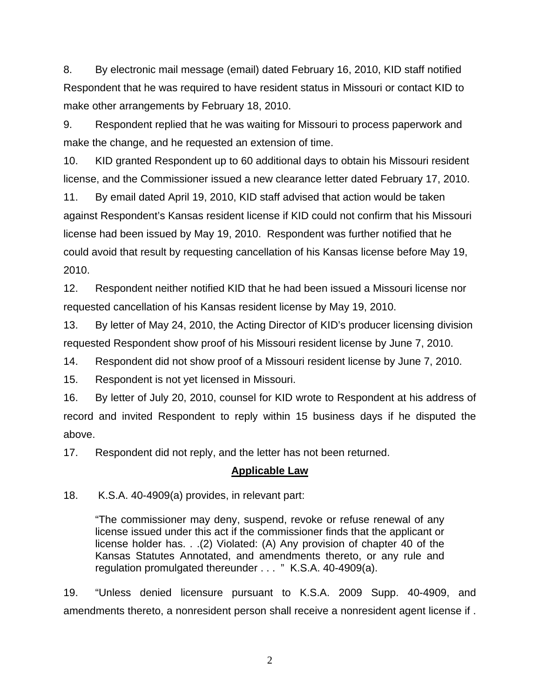8. By electronic mail message (email) dated February 16, 2010, KID staff notified Respondent that he was required to have resident status in Missouri or contact KID to make other arrangements by February 18, 2010.

9. Respondent replied that he was waiting for Missouri to process paperwork and make the change, and he requested an extension of time.

10. KID granted Respondent up to 60 additional days to obtain his Missouri resident license, and the Commissioner issued a new clearance letter dated February 17, 2010.

11. By email dated April 19, 2010, KID staff advised that action would be taken against Respondent's Kansas resident license if KID could not confirm that his Missouri license had been issued by May 19, 2010. Respondent was further notified that he could avoid that result by requesting cancellation of his Kansas license before May 19, 2010.

12. Respondent neither notified KID that he had been issued a Missouri license nor requested cancellation of his Kansas resident license by May 19, 2010.

13. By letter of May 24, 2010, the Acting Director of KID's producer licensing division requested Respondent show proof of his Missouri resident license by June 7, 2010.

14. Respondent did not show proof of a Missouri resident license by June 7, 2010.

15. Respondent is not yet licensed in Missouri.

16. By letter of July 20, 2010, counsel for KID wrote to Respondent at his address of record and invited Respondent to reply within 15 business days if he disputed the above.

17. Respondent did not reply, and the letter has not been returned.

### **Applicable Law**

18. K.S.A. 40-4909(a) provides, in relevant part:

"The commissioner may deny, suspend, revoke or refuse renewal of any license issued under this act if the commissioner finds that the applicant or license holder has. . .(2) Violated: (A) Any provision of chapter 40 of the Kansas Statutes Annotated, and amendments thereto, or any rule and regulation promulgated thereunder . . . " K.S.A. 40-4909(a).

19. "Unless denied licensure pursuant to K.S.A. 2009 Supp. 40-4909, and amendments thereto, a nonresident person shall receive a nonresident agent license if .

2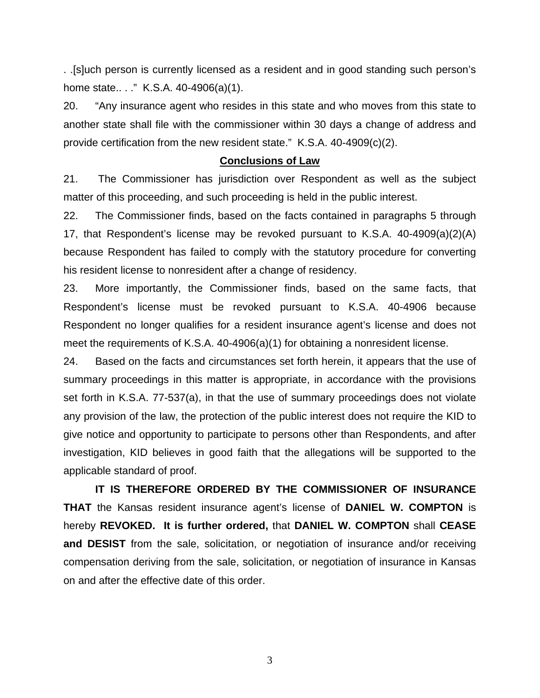. .[s]uch person is currently licensed as a resident and in good standing such person's home state.. . ." K.S.A. 40-4906(a)(1).

20. "Any insurance agent who resides in this state and who moves from this state to another state shall file with the commissioner within 30 days a change of address and provide certification from the new resident state." K.S.A. 40-4909(c)(2).

#### **Conclusions of Law**

21. The Commissioner has jurisdiction over Respondent as well as the subject matter of this proceeding, and such proceeding is held in the public interest.

22. The Commissioner finds, based on the facts contained in paragraphs 5 through 17, that Respondent's license may be revoked pursuant to K.S.A. 40-4909(a)(2)(A) because Respondent has failed to comply with the statutory procedure for converting his resident license to nonresident after a change of residency.

23. More importantly, the Commissioner finds, based on the same facts, that Respondent's license must be revoked pursuant to K.S.A. 40-4906 because Respondent no longer qualifies for a resident insurance agent's license and does not meet the requirements of K.S.A. 40-4906(a)(1) for obtaining a nonresident license.

24. Based on the facts and circumstances set forth herein, it appears that the use of summary proceedings in this matter is appropriate, in accordance with the provisions set forth in K.S.A. 77-537(a), in that the use of summary proceedings does not violate any provision of the law, the protection of the public interest does not require the KID to give notice and opportunity to participate to persons other than Respondents, and after investigation, KID believes in good faith that the allegations will be supported to the applicable standard of proof.

 **IT IS THEREFORE ORDERED BY THE COMMISSIONER OF INSURANCE THAT** the Kansas resident insurance agent's license of **DANIEL W. COMPTON** is hereby **REVOKED. It is further ordered,** that **DANIEL W. COMPTON** shall **CEASE and DESIST** from the sale, solicitation, or negotiation of insurance and/or receiving compensation deriving from the sale, solicitation, or negotiation of insurance in Kansas on and after the effective date of this order.

3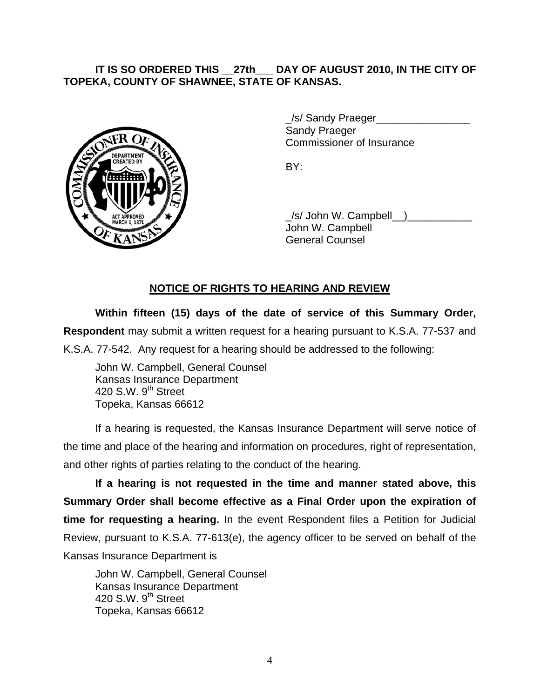## **IT IS SO ORDERED THIS \_\_27th\_\_\_ DAY OF AUGUST 2010, IN THE CITY OF TOPEKA, COUNTY OF SHAWNEE, STATE OF KANSAS.**



/s/ Sandy Praeger Sandy Praeger Commissioner of Insurance

 $\angle$ /s/ John W. Campbell $\Box$ ) John W. Campbell General Counsel

# **NOTICE OF RIGHTS TO HEARING AND REVIEW**

**Within fifteen (15) days of the date of service of this Summary Order, Respondent** may submit a written request for a hearing pursuant to K.S.A. 77-537 and K.S.A. 77-542. Any request for a hearing should be addressed to the following:

 John W. Campbell, General Counsel Kansas Insurance Department 420 S.W. 9<sup>th</sup> Street Topeka, Kansas 66612

If a hearing is requested, the Kansas Insurance Department will serve notice of the time and place of the hearing and information on procedures, right of representation, and other rights of parties relating to the conduct of the hearing.

**If a hearing is not requested in the time and manner stated above, this Summary Order shall become effective as a Final Order upon the expiration of time for requesting a hearing.** In the event Respondent files a Petition for Judicial Review, pursuant to K.S.A. 77-613(e), the agency officer to be served on behalf of the Kansas Insurance Department is

 John W. Campbell, General Counsel Kansas Insurance Department 420 S.W.  $9<sup>th</sup>$  Street Topeka, Kansas 66612